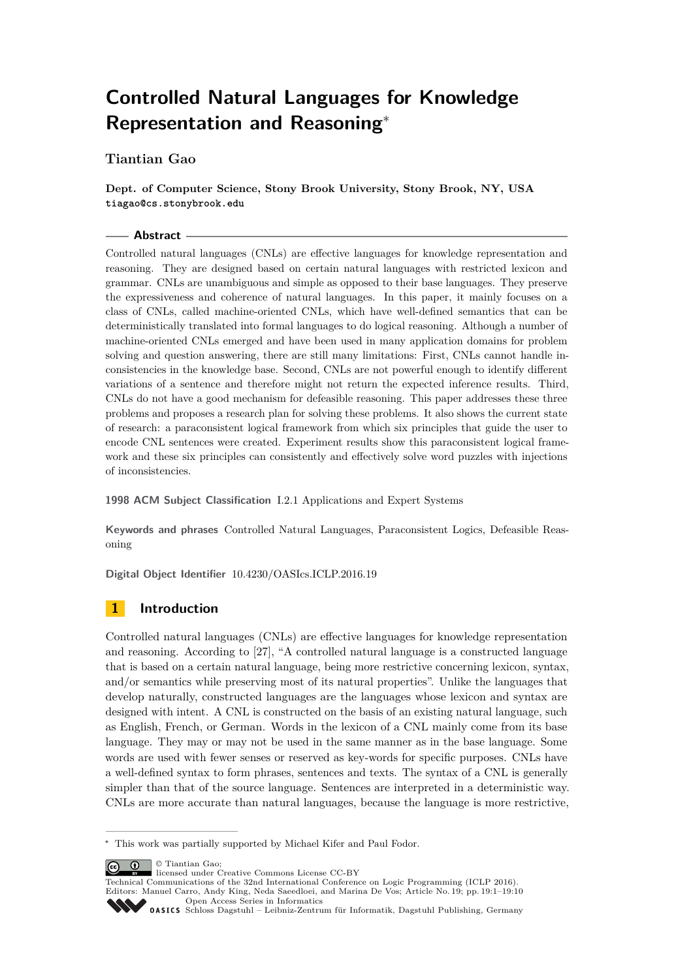# **Controlled Natural Languages for Knowledge Representation and Reasoning**<sup>∗</sup>

## **Tiantian Gao**

**Dept. of Computer Science, Stony Brook University, Stony Brook, NY, USA tiagao@cs.stonybrook.edu**

#### **Abstract**

Controlled natural languages (CNLs) are effective languages for knowledge representation and reasoning. They are designed based on certain natural languages with restricted lexicon and grammar. CNLs are unambiguous and simple as opposed to their base languages. They preserve the expressiveness and coherence of natural languages. In this paper, it mainly focuses on a class of CNLs, called machine-oriented CNLs, which have well-defined semantics that can be deterministically translated into formal languages to do logical reasoning. Although a number of machine-oriented CNLs emerged and have been used in many application domains for problem solving and question answering, there are still many limitations: First, CNLs cannot handle inconsistencies in the knowledge base. Second, CNLs are not powerful enough to identify different variations of a sentence and therefore might not return the expected inference results. Third, CNLs do not have a good mechanism for defeasible reasoning. This paper addresses these three problems and proposes a research plan for solving these problems. It also shows the current state of research: a paraconsistent logical framework from which six principles that guide the user to encode CNL sentences were created. Experiment results show this paraconsistent logical framework and these six principles can consistently and effectively solve word puzzles with injections of inconsistencies.

**1998 ACM Subject Classification** I.2.1 Applications and Expert Systems

**Keywords and phrases** Controlled Natural Languages, Paraconsistent Logics, Defeasible Reasoning

**Digital Object Identifier** [10.4230/OASIcs.ICLP.2016.19](http://dx.doi.org/10.4230/OASIcs.ICLP.2016.19)

# **1 Introduction**

Controlled natural languages (CNLs) are effective languages for knowledge representation and reasoning. According to [\[27\]](#page-8-0), "A controlled natural language is a constructed language that is based on a certain natural language, being more restrictive concerning lexicon, syntax, and/or semantics while preserving most of its natural properties". Unlike the languages that develop naturally, constructed languages are the languages whose lexicon and syntax are designed with intent. A CNL is constructed on the basis of an existing natural language, such as English, French, or German. Words in the lexicon of a CNL mainly come from its base language. They may or may not be used in the same manner as in the base language. Some words are used with fewer senses or reserved as key-words for specific purposes. CNLs have a well-defined syntax to form phrases, sentences and texts. The syntax of a CNL is generally simpler than that of the source language. Sentences are interpreted in a deterministic way. CNLs are more accurate than natural languages, because the language is more restrictive,

© Tiantian Gao;

<sup>∗</sup> This work was partially supported by Michael Kifer and Paul Fodor.

licensed under Creative Commons License CC-BY

Technical Communications of the 32nd International Conference on Logic Programming (ICLP 2016). Editors: Manuel Carro, Andy King, Neda Saeedloei, and Marina De Vos; Article No. 19; pp. 19:1–19[:10](#page-9-0) [Open Access Series in Informatics](http://www.dagstuhl.de/oasics/)

[Schloss Dagstuhl – Leibniz-Zentrum für Informatik, Dagstuhl Publishing, Germany](http://www.dagstuhl.de)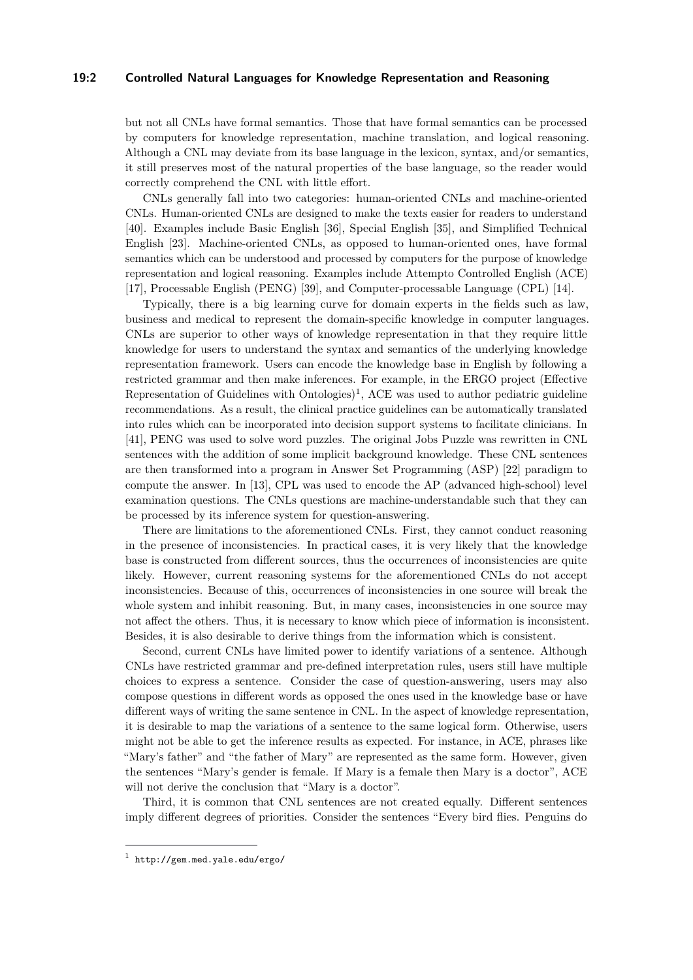#### **19:2 Controlled Natural Languages for Knowledge Representation and Reasoning**

but not all CNLs have formal semantics. Those that have formal semantics can be processed by computers for knowledge representation, machine translation, and logical reasoning. Although a CNL may deviate from its base language in the lexicon, syntax, and/or semantics, it still preserves most of the natural properties of the base language, so the reader would correctly comprehend the CNL with little effort.

CNLs generally fall into two categories: human-oriented CNLs and machine-oriented CNLs. Human-oriented CNLs are designed to make the texts easier for readers to understand [\[40\]](#page-9-1). Examples include Basic English [\[36\]](#page-9-2), Special English [\[35\]](#page-8-1), and Simplified Technical English [\[23\]](#page-8-2). Machine-oriented CNLs, as opposed to human-oriented ones, have formal semantics which can be understood and processed by computers for the purpose of knowledge representation and logical reasoning. Examples include Attempto Controlled English (ACE) [\[17\]](#page-7-0), Processable English (PENG) [\[39\]](#page-9-3), and Computer-processable Language (CPL) [\[14\]](#page-7-1).

Typically, there is a big learning curve for domain experts in the fields such as law, business and medical to represent the domain-specific knowledge in computer languages. CNLs are superior to other ways of knowledge representation in that they require little knowledge for users to understand the syntax and semantics of the underlying knowledge representation framework. Users can encode the knowledge base in English by following a restricted grammar and then make inferences. For example, in the ERGO project (Effective Representation of Guidelines with  $Ontologies)^1$  $Ontologies)^1$ , ACE was used to author pediatric guideline recommendations. As a result, the clinical practice guidelines can be automatically translated into rules which can be incorporated into decision support systems to facilitate clinicians. In [\[41\]](#page-9-4), PENG was used to solve word puzzles. The original Jobs Puzzle was rewritten in CNL sentences with the addition of some implicit background knowledge. These CNL sentences are then transformed into a program in Answer Set Programming (ASP) [\[22\]](#page-8-3) paradigm to compute the answer. In [\[13\]](#page-7-2), CPL was used to encode the AP (advanced high-school) level examination questions. The CNLs questions are machine-understandable such that they can be processed by its inference system for question-answering.

There are limitations to the aforementioned CNLs. First, they cannot conduct reasoning in the presence of inconsistencies. In practical cases, it is very likely that the knowledge base is constructed from different sources, thus the occurrences of inconsistencies are quite likely. However, current reasoning systems for the aforementioned CNLs do not accept inconsistencies. Because of this, occurrences of inconsistencies in one source will break the whole system and inhibit reasoning. But, in many cases, inconsistencies in one source may not affect the others. Thus, it is necessary to know which piece of information is inconsistent. Besides, it is also desirable to derive things from the information which is consistent.

Second, current CNLs have limited power to identify variations of a sentence. Although CNLs have restricted grammar and pre-defined interpretation rules, users still have multiple choices to express a sentence. Consider the case of question-answering, users may also compose questions in different words as opposed the ones used in the knowledge base or have different ways of writing the same sentence in CNL. In the aspect of knowledge representation, it is desirable to map the variations of a sentence to the same logical form. Otherwise, users might not be able to get the inference results as expected. For instance, in ACE, phrases like "Mary's father" and "the father of Mary" are represented as the same form. However, given the sentences "Mary's gender is female. If Mary is a female then Mary is a doctor", ACE will not derive the conclusion that "Mary is a doctor".

Third, it is common that CNL sentences are not created equally. Different sentences imply different degrees of priorities. Consider the sentences "Every bird flies. Penguins do

<span id="page-1-0"></span> $^1$  <http://gem.med.yale.edu/ergo/>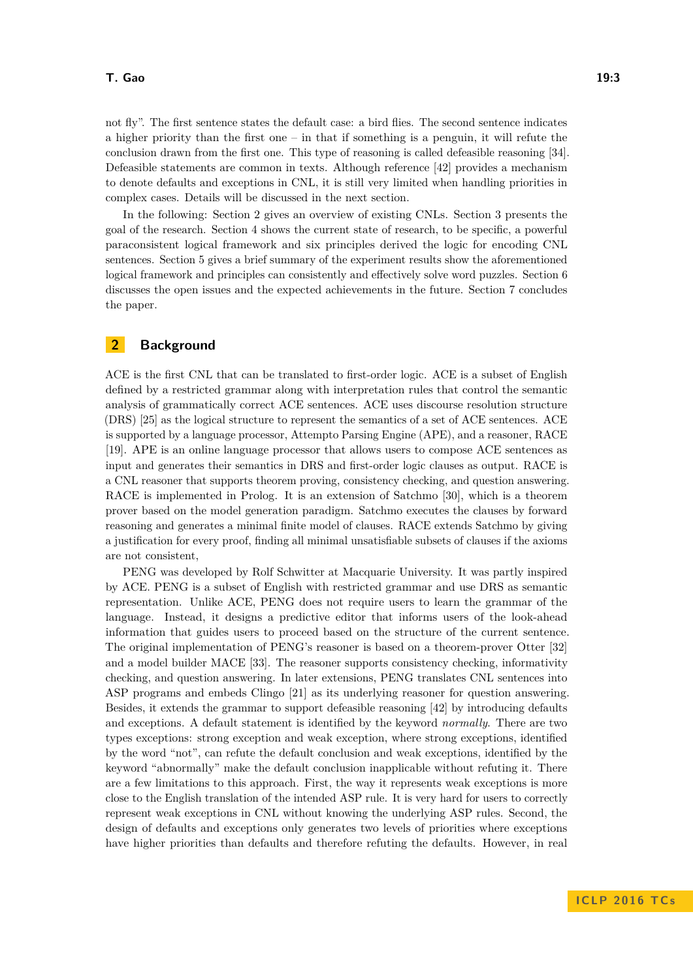#### **T. Gao 19:3**

not fly". The first sentence states the default case: a bird flies. The second sentence indicates a higher priority than the first one – in that if something is a penguin, it will refute the conclusion drawn from the first one. This type of reasoning is called defeasible reasoning [\[34\]](#page-8-4). Defeasible statements are common in texts. Although reference [\[42\]](#page-9-5) provides a mechanism to denote defaults and exceptions in CNL, it is still very limited when handling priorities in complex cases. Details will be discussed in the next section.

In the following: Section [2](#page-2-0) gives an overview of existing CNLs. Section [3](#page-4-0) presents the goal of the research. Section [4](#page-5-0) shows the current state of research, to be specific, a powerful paraconsistent logical framework and six principles derived the logic for encoding CNL sentences. Section [5](#page-5-1) gives a brief summary of the experiment results show the aforementioned logical framework and principles can consistently and effectively solve word puzzles. Section [6](#page-6-0) discusses the open issues and the expected achievements in the future. Section [7](#page-6-1) concludes the paper.

# <span id="page-2-0"></span>**2 Background**

ACE is the first CNL that can be translated to first-order logic. ACE is a subset of English defined by a restricted grammar along with interpretation rules that control the semantic analysis of grammatically correct ACE sentences. ACE uses discourse resolution structure (DRS) [\[25\]](#page-8-5) as the logical structure to represent the semantics of a set of ACE sentences. ACE is supported by a language processor, Attempto Parsing Engine (APE), and a reasoner, RACE [\[19\]](#page-8-6). APE is an online language processor that allows users to compose ACE sentences as input and generates their semantics in DRS and first-order logic clauses as output. RACE is a CNL reasoner that supports theorem proving, consistency checking, and question answering. RACE is implemented in Prolog. It is an extension of Satchmo [\[30\]](#page-8-7), which is a theorem prover based on the model generation paradigm. Satchmo executes the clauses by forward reasoning and generates a minimal finite model of clauses. RACE extends Satchmo by giving a justification for every proof, finding all minimal unsatisfiable subsets of clauses if the axioms are not consistent,

PENG was developed by Rolf Schwitter at Macquarie University. It was partly inspired by ACE. PENG is a subset of English with restricted grammar and use DRS as semantic representation. Unlike ACE, PENG does not require users to learn the grammar of the language. Instead, it designs a predictive editor that informs users of the look-ahead information that guides users to proceed based on the structure of the current sentence. The original implementation of PENG's reasoner is based on a theorem-prover Otter [\[32\]](#page-8-8) and a model builder MACE [\[33\]](#page-8-9). The reasoner supports consistency checking, informativity checking, and question answering. In later extensions, PENG translates CNL sentences into ASP programs and embeds Clingo [\[21\]](#page-8-10) as its underlying reasoner for question answering. Besides, it extends the grammar to support defeasible reasoning [\[42\]](#page-9-5) by introducing defaults and exceptions. A default statement is identified by the keyword *normally*. There are two types exceptions: strong exception and weak exception, where strong exceptions, identified by the word "not", can refute the default conclusion and weak exceptions, identified by the keyword "abnormally" make the default conclusion inapplicable without refuting it. There are a few limitations to this approach. First, the way it represents weak exceptions is more close to the English translation of the intended ASP rule. It is very hard for users to correctly represent weak exceptions in CNL without knowing the underlying ASP rules. Second, the design of defaults and exceptions only generates two levels of priorities where exceptions have higher priorities than defaults and therefore refuting the defaults. However, in real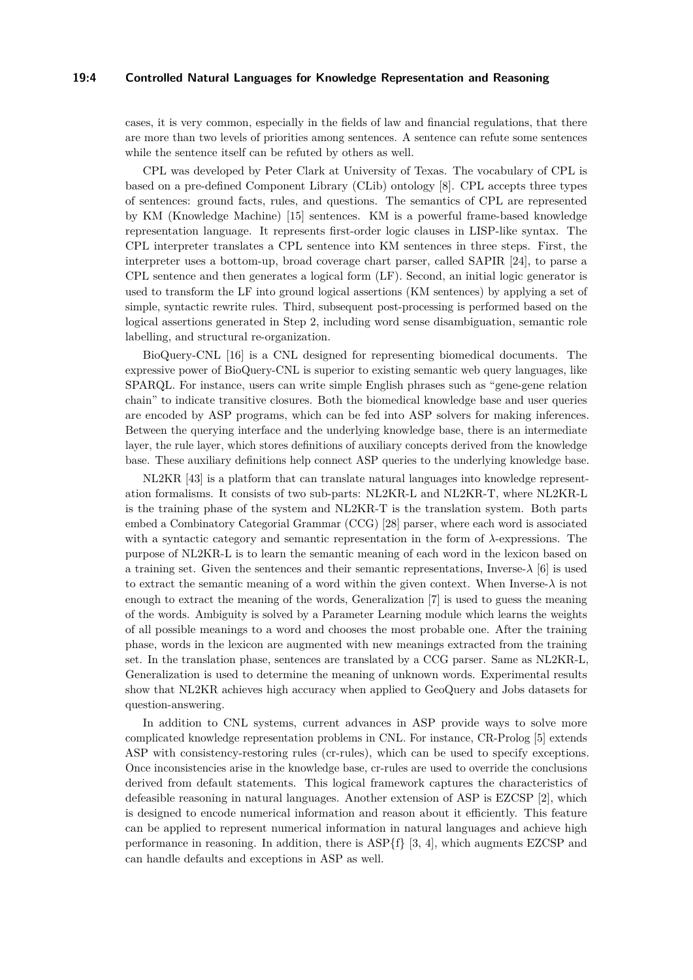## **19:4 Controlled Natural Languages for Knowledge Representation and Reasoning**

cases, it is very common, especially in the fields of law and financial regulations, that there are more than two levels of priorities among sentences. A sentence can refute some sentences while the sentence itself can be refuted by others as well.

CPL was developed by Peter Clark at University of Texas. The vocabulary of CPL is based on a pre-defined Component Library (CLib) ontology [\[8\]](#page-7-3). CPL accepts three types of sentences: ground facts, rules, and questions. The semantics of CPL are represented by KM (Knowledge Machine) [\[15\]](#page-7-4) sentences. KM is a powerful frame-based knowledge representation language. It represents first-order logic clauses in LISP-like syntax. The CPL interpreter translates a CPL sentence into KM sentences in three steps. First, the interpreter uses a bottom-up, broad coverage chart parser, called SAPIR [\[24\]](#page-8-11), to parse a CPL sentence and then generates a logical form (LF). Second, an initial logic generator is used to transform the LF into ground logical assertions (KM sentences) by applying a set of simple, syntactic rewrite rules. Third, subsequent post-processing is performed based on the logical assertions generated in Step 2, including word sense disambiguation, semantic role labelling, and structural re-organization.

BioQuery-CNL [\[16\]](#page-7-5) is a CNL designed for representing biomedical documents. The expressive power of BioQuery-CNL is superior to existing semantic web query languages, like SPARQL. For instance, users can write simple English phrases such as "gene-gene relation chain" to indicate transitive closures. Both the biomedical knowledge base and user queries are encoded by ASP programs, which can be fed into ASP solvers for making inferences. Between the querying interface and the underlying knowledge base, there is an intermediate layer, the rule layer, which stores definitions of auxiliary concepts derived from the knowledge base. These auxiliary definitions help connect ASP queries to the underlying knowledge base.

NL2KR [\[43\]](#page-9-6) is a platform that can translate natural languages into knowledge representation formalisms. It consists of two sub-parts: NL2KR-L and NL2KR-T, where NL2KR-L is the training phase of the system and NL2KR-T is the translation system. Both parts embed a Combinatory Categorial Grammar (CCG) [\[28\]](#page-8-12) parser, where each word is associated with a syntactic category and semantic representation in the form of *λ*-expressions. The purpose of NL2KR-L is to learn the semantic meaning of each word in the lexicon based on a training set. Given the sentences and their semantic representations, Inverse-*λ* [\[6\]](#page-7-6) is used to extract the semantic meaning of a word within the given context. When Inverse-*λ* is not enough to extract the meaning of the words, Generalization [\[7\]](#page-7-7) is used to guess the meaning of the words. Ambiguity is solved by a Parameter Learning module which learns the weights of all possible meanings to a word and chooses the most probable one. After the training phase, words in the lexicon are augmented with new meanings extracted from the training set. In the translation phase, sentences are translated by a CCG parser. Same as NL2KR-L, Generalization is used to determine the meaning of unknown words. Experimental results show that NL2KR achieves high accuracy when applied to GeoQuery and Jobs datasets for question-answering.

In addition to CNL systems, current advances in ASP provide ways to solve more complicated knowledge representation problems in CNL. For instance, CR-Prolog [\[5\]](#page-7-8) extends ASP with consistency-restoring rules (cr-rules), which can be used to specify exceptions. Once inconsistencies arise in the knowledge base, cr-rules are used to override the conclusions derived from default statements. This logical framework captures the characteristics of defeasible reasoning in natural languages. Another extension of ASP is EZCSP [\[2\]](#page-6-2), which is designed to encode numerical information and reason about it efficiently. This feature can be applied to represent numerical information in natural languages and achieve high performance in reasoning. In addition, there is  $ASP{f}$  [\[3,](#page-6-3) [4\]](#page-7-9), which augments EZCSP and can handle defaults and exceptions in ASP as well.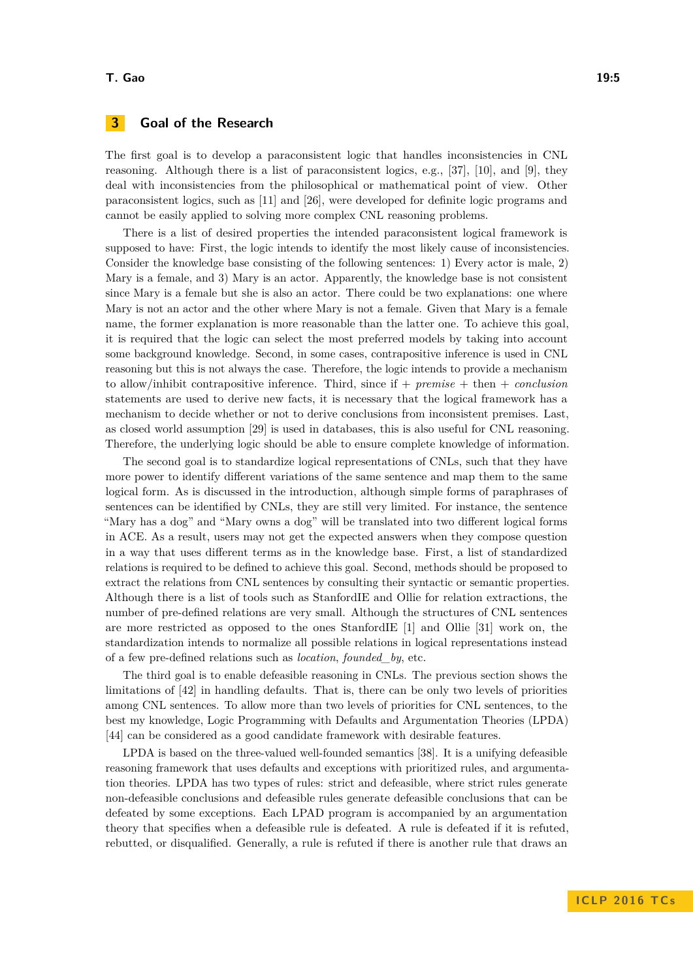#### **T. Gao 19:5**

# <span id="page-4-0"></span>**3 Goal of the Research**

The first goal is to develop a paraconsistent logic that handles inconsistencies in CNL reasoning. Although there is a list of paraconsistent logics, e.g., [\[37\]](#page-9-7), [\[10\]](#page-7-10), and [\[9\]](#page-7-11), they deal with inconsistencies from the philosophical or mathematical point of view. Other paraconsistent logics, such as [\[11\]](#page-7-12) and [\[26\]](#page-8-13), were developed for definite logic programs and cannot be easily applied to solving more complex CNL reasoning problems.

There is a list of desired properties the intended paraconsistent logical framework is supposed to have: First, the logic intends to identify the most likely cause of inconsistencies. Consider the knowledge base consisting of the following sentences: 1) Every actor is male, 2) Mary is a female, and 3) Mary is an actor. Apparently, the knowledge base is not consistent since Mary is a female but she is also an actor. There could be two explanations: one where Mary is not an actor and the other where Mary is not a female. Given that Mary is a female name, the former explanation is more reasonable than the latter one. To achieve this goal, it is required that the logic can select the most preferred models by taking into account some background knowledge. Second, in some cases, contrapositive inference is used in CNL reasoning but this is not always the case. Therefore, the logic intends to provide a mechanism to allow/inhibit contrapositive inference. Third, since if + *premise* + then + *conclusion* statements are used to derive new facts, it is necessary that the logical framework has a mechanism to decide whether or not to derive conclusions from inconsistent premises. Last, as closed world assumption [\[29\]](#page-8-14) is used in databases, this is also useful for CNL reasoning. Therefore, the underlying logic should be able to ensure complete knowledge of information.

The second goal is to standardize logical representations of CNLs, such that they have more power to identify different variations of the same sentence and map them to the same logical form. As is discussed in the introduction, although simple forms of paraphrases of sentences can be identified by CNLs, they are still very limited. For instance, the sentence "Mary has a dog" and "Mary owns a dog" will be translated into two different logical forms in ACE. As a result, users may not get the expected answers when they compose question in a way that uses different terms as in the knowledge base. First, a list of standardized relations is required to be defined to achieve this goal. Second, methods should be proposed to extract the relations from CNL sentences by consulting their syntactic or semantic properties. Although there is a list of tools such as StanfordIE and Ollie for relation extractions, the number of pre-defined relations are very small. Although the structures of CNL sentences are more restricted as opposed to the ones StanfordIE [\[1\]](#page-6-4) and Ollie [\[31\]](#page-8-15) work on, the standardization intends to normalize all possible relations in logical representations instead of a few pre-defined relations such as *location*, *founded\_by*, etc.

The third goal is to enable defeasible reasoning in CNLs. The previous section shows the limitations of [\[42\]](#page-9-5) in handling defaults. That is, there can be only two levels of priorities among CNL sentences. To allow more than two levels of priorities for CNL sentences, to the best my knowledge, Logic Programming with Defaults and Argumentation Theories (LPDA) [\[44\]](#page-9-8) can be considered as a good candidate framework with desirable features.

LPDA is based on the three-valued well-founded semantics [\[38\]](#page-9-9). It is a unifying defeasible reasoning framework that uses defaults and exceptions with prioritized rules, and argumentation theories. LPDA has two types of rules: strict and defeasible, where strict rules generate non-defeasible conclusions and defeasible rules generate defeasible conclusions that can be defeated by some exceptions. Each LPAD program is accompanied by an argumentation theory that specifies when a defeasible rule is defeated. A rule is defeated if it is refuted, rebutted, or disqualified. Generally, a rule is refuted if there is another rule that draws an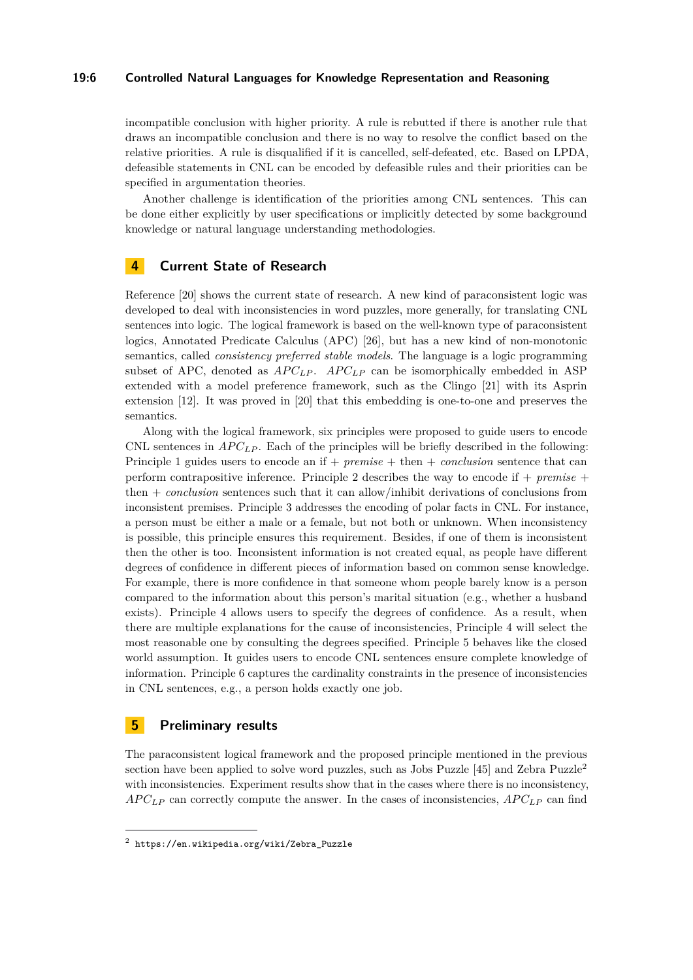#### **19:6 Controlled Natural Languages for Knowledge Representation and Reasoning**

incompatible conclusion with higher priority. A rule is rebutted if there is another rule that draws an incompatible conclusion and there is no way to resolve the conflict based on the relative priorities. A rule is disqualified if it is cancelled, self-defeated, etc. Based on LPDA, defeasible statements in CNL can be encoded by defeasible rules and their priorities can be specified in argumentation theories.

Another challenge is identification of the priorities among CNL sentences. This can be done either explicitly by user specifications or implicitly detected by some background knowledge or natural language understanding methodologies.

## <span id="page-5-0"></span>**4 Current State of Research**

Reference [\[20\]](#page-8-16) shows the current state of research. A new kind of paraconsistent logic was developed to deal with inconsistencies in word puzzles, more generally, for translating CNL sentences into logic. The logical framework is based on the well-known type of paraconsistent logics, Annotated Predicate Calculus (APC) [\[26\]](#page-8-13), but has a new kind of non-monotonic semantics, called *consistency preferred stable models*. The language is a logic programming subset of APC, denoted as  $APC<sub>LP</sub>$ .  $APC<sub>LP</sub>$  can be isomorphically embedded in ASP extended with a model preference framework, such as the Clingo [\[21\]](#page-8-10) with its Asprin extension [\[12\]](#page-7-13). It was proved in [\[20\]](#page-8-16) that this embedding is one-to-one and preserves the semantics.

Along with the logical framework, six principles were proposed to guide users to encode CNL sentences in  $AP C_{LP}$ . Each of the principles will be briefly described in the following: Principle 1 guides users to encode an if + *premise* + then + *conclusion* sentence that can perform contrapositive inference. Principle 2 describes the way to encode if + *premise* + then + *conclusion* sentences such that it can allow/inhibit derivations of conclusions from inconsistent premises. Principle 3 addresses the encoding of polar facts in CNL. For instance, a person must be either a male or a female, but not both or unknown. When inconsistency is possible, this principle ensures this requirement. Besides, if one of them is inconsistent then the other is too. Inconsistent information is not created equal, as people have different degrees of confidence in different pieces of information based on common sense knowledge. For example, there is more confidence in that someone whom people barely know is a person compared to the information about this person's marital situation (e.g., whether a husband exists). Principle 4 allows users to specify the degrees of confidence. As a result, when there are multiple explanations for the cause of inconsistencies, Principle 4 will select the most reasonable one by consulting the degrees specified. Principle 5 behaves like the closed world assumption. It guides users to encode CNL sentences ensure complete knowledge of information. Principle 6 captures the cardinality constraints in the presence of inconsistencies in CNL sentences, e.g., a person holds exactly one job.

## <span id="page-5-1"></span>**5 Preliminary results**

The paraconsistent logical framework and the proposed principle mentioned in the previous section have been applied to solve word puzzles, such as Jobs Puzzle  $[45]$  and Zebra Puzzle<sup>[2](#page-5-2)</sup> with inconsistencies. Experiment results show that in the cases where there is no inconsistency, *AP CLP* can correctly compute the answer. In the cases of inconsistencies, *AP CLP* can find

<span id="page-5-2"></span> $^{\rm 2}$  [https://en.wikipedia.org/wiki/Zebra\\_Puzzle](https://en.wikipedia.org/wiki/Zebra_Puzzle)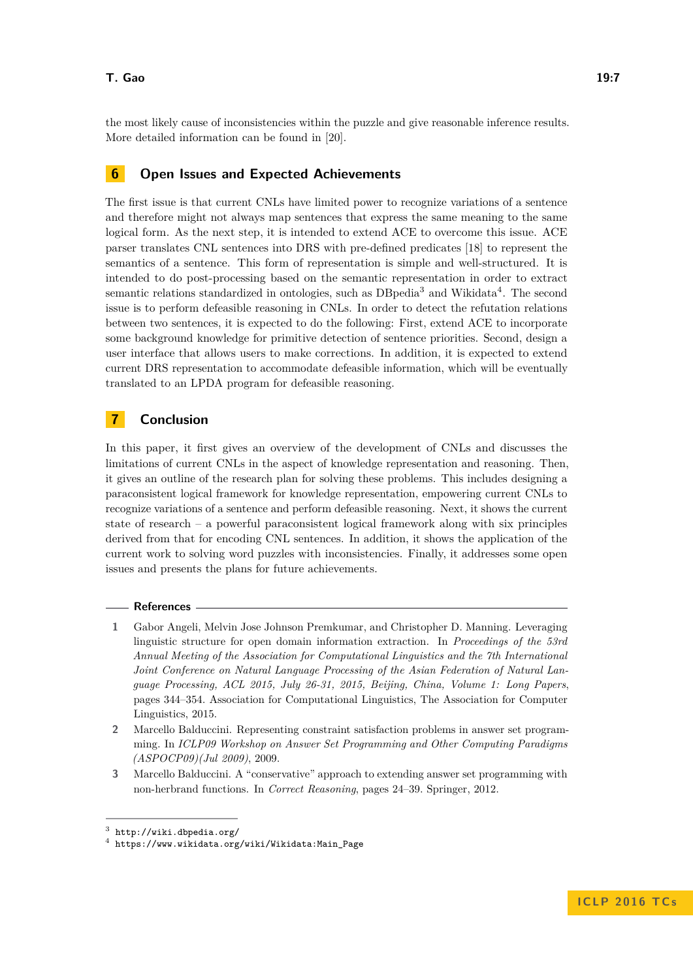the most likely cause of inconsistencies within the puzzle and give reasonable inference results. More detailed information can be found in [\[20\]](#page-8-16).

# <span id="page-6-0"></span>**6 Open Issues and Expected Achievements**

The first issue is that current CNLs have limited power to recognize variations of a sentence and therefore might not always map sentences that express the same meaning to the same logical form. As the next step, it is intended to extend ACE to overcome this issue. ACE parser translates CNL sentences into DRS with pre-defined predicates [\[18\]](#page-8-17) to represent the semantics of a sentence. This form of representation is simple and well-structured. It is intended to do post-processing based on the semantic representation in order to extract semantic relations standardized in ontologies, such as DB pedia<sup>[3](#page-6-5)</sup> and Wikidata<sup>[4](#page-6-6)</sup>. The second issue is to perform defeasible reasoning in CNLs. In order to detect the refutation relations between two sentences, it is expected to do the following: First, extend ACE to incorporate some background knowledge for primitive detection of sentence priorities. Second, design a user interface that allows users to make corrections. In addition, it is expected to extend current DRS representation to accommodate defeasible information, which will be eventually translated to an LPDA program for defeasible reasoning.

## <span id="page-6-1"></span>**7 Conclusion**

In this paper, it first gives an overview of the development of CNLs and discusses the limitations of current CNLs in the aspect of knowledge representation and reasoning. Then, it gives an outline of the research plan for solving these problems. This includes designing a paraconsistent logical framework for knowledge representation, empowering current CNLs to recognize variations of a sentence and perform defeasible reasoning. Next, it shows the current state of research – a powerful paraconsistent logical framework along with six principles derived from that for encoding CNL sentences. In addition, it shows the application of the current work to solving word puzzles with inconsistencies. Finally, it addresses some open issues and presents the plans for future achievements.

#### **References**

- <span id="page-6-4"></span>**1** Gabor Angeli, Melvin Jose Johnson Premkumar, and Christopher D. Manning. Leveraging linguistic structure for open domain information extraction. In *Proceedings of the 53rd Annual Meeting of the Association for Computational Linguistics and the 7th International Joint Conference on Natural Language Processing of the Asian Federation of Natural Language Processing, ACL 2015, July 26-31, 2015, Beijing, China, Volume 1: Long Papers*, pages 344–354. Association for Computational Linguistics, The Association for Computer Linguistics, 2015.
- <span id="page-6-2"></span>**2** Marcello Balduccini. Representing constraint satisfaction problems in answer set programming. In *ICLP09 Workshop on Answer Set Programming and Other Computing Paradigms (ASPOCP09)(Jul 2009)*, 2009.
- <span id="page-6-3"></span>**3** Marcello Balduccini. A "conservative" approach to extending answer set programming with non-herbrand functions. In *Correct Reasoning*, pages 24–39. Springer, 2012.

<span id="page-6-5"></span> $^3$  <http://wiki.dbpedia.org/>

<span id="page-6-6"></span><sup>4</sup> [https://www.wikidata.org/wiki/Wikidata:Main\\_Page](https://www.wikidata.org/wiki/Wikidata:Main_Page)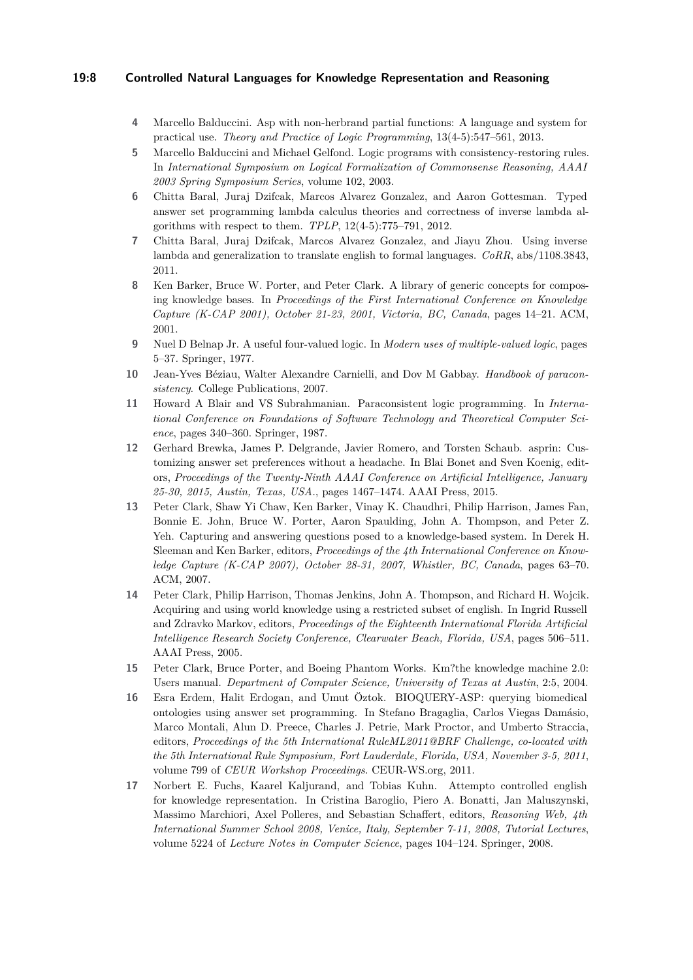#### **19:8 Controlled Natural Languages for Knowledge Representation and Reasoning**

- <span id="page-7-9"></span>**4** Marcello Balduccini. Asp with non-herbrand partial functions: A language and system for practical use. *Theory and Practice of Logic Programming*, 13(4-5):547–561, 2013.
- <span id="page-7-8"></span>**5** Marcello Balduccini and Michael Gelfond. Logic programs with consistency-restoring rules. In *International Symposium on Logical Formalization of Commonsense Reasoning, AAAI 2003 Spring Symposium Series*, volume 102, 2003.
- <span id="page-7-6"></span>**6** Chitta Baral, Juraj Dzifcak, Marcos Alvarez Gonzalez, and Aaron Gottesman. Typed answer set programming lambda calculus theories and correctness of inverse lambda algorithms with respect to them. *TPLP*, 12(4-5):775–791, 2012.
- <span id="page-7-7"></span>**7** Chitta Baral, Juraj Dzifcak, Marcos Alvarez Gonzalez, and Jiayu Zhou. Using inverse lambda and generalization to translate english to formal languages. *CoRR*, abs/1108.3843, 2011.
- <span id="page-7-3"></span>**8** Ken Barker, Bruce W. Porter, and Peter Clark. A library of generic concepts for composing knowledge bases. In *Proceedings of the First International Conference on Knowledge Capture (K-CAP 2001), October 21-23, 2001, Victoria, BC, Canada*, pages 14–21. ACM, 2001.
- <span id="page-7-11"></span>**9** Nuel D Belnap Jr. A useful four-valued logic. In *Modern uses of multiple-valued logic*, pages 5–37. Springer, 1977.
- <span id="page-7-10"></span>**10** Jean-Yves Béziau, Walter Alexandre Carnielli, and Dov M Gabbay. *Handbook of paraconsistency*. College Publications, 2007.
- <span id="page-7-12"></span>**11** Howard A Blair and VS Subrahmanian. Paraconsistent logic programming. In *International Conference on Foundations of Software Technology and Theoretical Computer Science*, pages 340–360. Springer, 1987.
- <span id="page-7-13"></span>**12** Gerhard Brewka, James P. Delgrande, Javier Romero, and Torsten Schaub. asprin: Customizing answer set preferences without a headache. In Blai Bonet and Sven Koenig, editors, *Proceedings of the Twenty-Ninth AAAI Conference on Artificial Intelligence, January 25-30, 2015, Austin, Texas, USA.*, pages 1467–1474. AAAI Press, 2015.
- <span id="page-7-2"></span>**13** Peter Clark, Shaw Yi Chaw, Ken Barker, Vinay K. Chaudhri, Philip Harrison, James Fan, Bonnie E. John, Bruce W. Porter, Aaron Spaulding, John A. Thompson, and Peter Z. Yeh. Capturing and answering questions posed to a knowledge-based system. In Derek H. Sleeman and Ken Barker, editors, *Proceedings of the 4th International Conference on Knowledge Capture (K-CAP 2007), October 28-31, 2007, Whistler, BC, Canada*, pages 63–70. ACM, 2007.
- <span id="page-7-1"></span>**14** Peter Clark, Philip Harrison, Thomas Jenkins, John A. Thompson, and Richard H. Wojcik. Acquiring and using world knowledge using a restricted subset of english. In Ingrid Russell and Zdravko Markov, editors, *Proceedings of the Eighteenth International Florida Artificial Intelligence Research Society Conference, Clearwater Beach, Florida, USA*, pages 506–511. AAAI Press, 2005.
- <span id="page-7-4"></span>**15** Peter Clark, Bruce Porter, and Boeing Phantom Works. Km?the knowledge machine 2.0: Users manual. *Department of Computer Science, University of Texas at Austin*, 2:5, 2004.
- <span id="page-7-5"></span>**16** Esra Erdem, Halit Erdogan, and Umut Öztok. BIOQUERY-ASP: querying biomedical ontologies using answer set programming. In Stefano Bragaglia, Carlos Viegas Damásio, Marco Montali, Alun D. Preece, Charles J. Petrie, Mark Proctor, and Umberto Straccia, editors, *Proceedings of the 5th International RuleML2011@BRF Challenge, co-located with the 5th International Rule Symposium, Fort Lauderdale, Florida, USA, November 3-5, 2011*, volume 799 of *CEUR Workshop Proceedings*. CEUR-WS.org, 2011.
- <span id="page-7-0"></span>**17** Norbert E. Fuchs, Kaarel Kaljurand, and Tobias Kuhn. Attempto controlled english for knowledge representation. In Cristina Baroglio, Piero A. Bonatti, Jan Maluszynski, Massimo Marchiori, Axel Polleres, and Sebastian Schaffert, editors, *Reasoning Web, 4th International Summer School 2008, Venice, Italy, September 7-11, 2008, Tutorial Lectures*, volume 5224 of *Lecture Notes in Computer Science*, pages 104–124. Springer, 2008.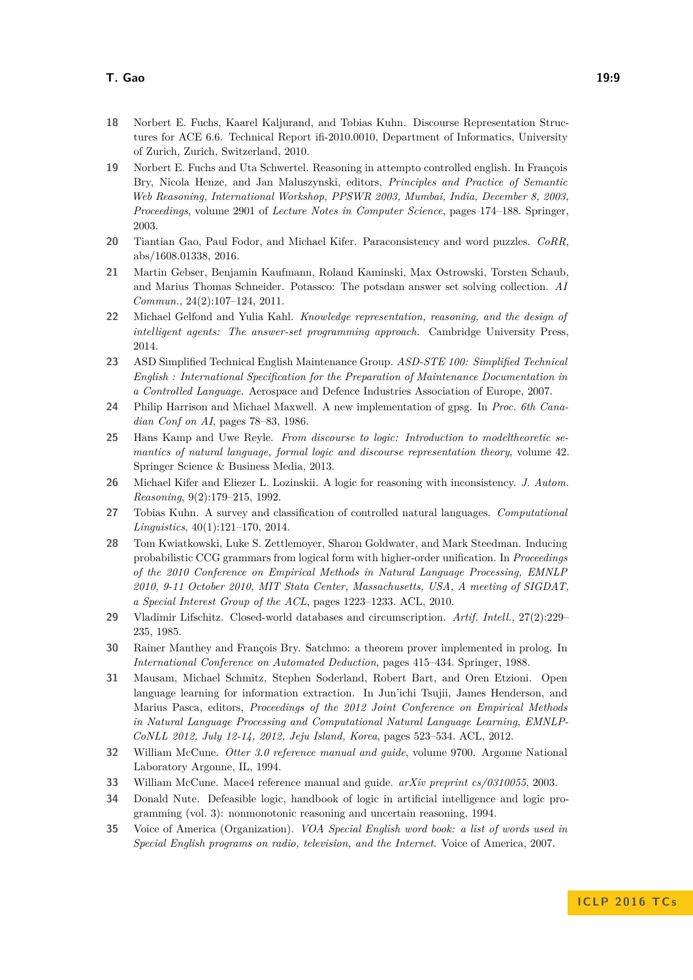- <span id="page-8-17"></span>**18** Norbert E. Fuchs, Kaarel Kaljurand, and Tobias Kuhn. Discourse Representation Structures for ACE 6.6. Technical Report ifi-2010.0010, Department of Informatics, University of Zurich, Zurich, Switzerland, 2010.
- <span id="page-8-6"></span>**19** Norbert E. Fuchs and Uta Schwertel. Reasoning in attempto controlled english. In François Bry, Nicola Henze, and Jan Maluszynski, editors, *Principles and Practice of Semantic Web Reasoning, International Workshop, PPSWR 2003, Mumbai, India, December 8, 2003, Proceedings*, volume 2901 of *Lecture Notes in Computer Science*, pages 174–188. Springer, 2003.
- <span id="page-8-16"></span>**20** Tiantian Gao, Paul Fodor, and Michael Kifer. Paraconsistency and word puzzles. *CoRR*, abs/1608.01338, 2016.
- <span id="page-8-10"></span>**21** Martin Gebser, Benjamin Kaufmann, Roland Kaminski, Max Ostrowski, Torsten Schaub, and Marius Thomas Schneider. Potassco: The potsdam answer set solving collection. *AI Commun.*, 24(2):107–124, 2011.
- <span id="page-8-3"></span>**22** Michael Gelfond and Yulia Kahl. *Knowledge representation, reasoning, and the design of intelligent agents: The answer-set programming approach*. Cambridge University Press, 2014.
- <span id="page-8-2"></span>**23** ASD Simplified Technical English Maintenance Group. *ASD-STE 100: Simplified Technical English : International Specification for the Preparation of Maintenance Documentation in a Controlled Language*. Aerospace and Defence Industries Association of Europe, 2007.
- <span id="page-8-11"></span>**24** Philip Harrison and Michael Maxwell. A new implementation of gpsg. In *Proc. 6th Canadian Conf on AI*, pages 78–83, 1986.
- <span id="page-8-5"></span>**25** Hans Kamp and Uwe Reyle. *From discourse to logic: Introduction to modeltheoretic semantics of natural language, formal logic and discourse representation theory*, volume 42. Springer Science & Business Media, 2013.
- <span id="page-8-13"></span>**26** Michael Kifer and Eliezer L. Lozinskii. A logic for reasoning with inconsistency. *J. Autom. Reasoning*, 9(2):179–215, 1992.
- <span id="page-8-0"></span>**27** Tobias Kuhn. A survey and classification of controlled natural languages. *Computational Linguistics*, 40(1):121–170, 2014.
- <span id="page-8-12"></span>**28** Tom Kwiatkowski, Luke S. Zettlemoyer, Sharon Goldwater, and Mark Steedman. Inducing probabilistic CCG grammars from logical form with higher-order unification. In *Proceedings of the 2010 Conference on Empirical Methods in Natural Language Processing, EMNLP 2010, 9-11 October 2010, MIT Stata Center, Massachusetts, USA, A meeting of SIGDAT, a Special Interest Group of the ACL*, pages 1223–1233. ACL, 2010.
- <span id="page-8-14"></span>**29** Vladimir Lifschitz. Closed-world databases and circumscription. *Artif. Intell.*, 27(2):229– 235, 1985.
- <span id="page-8-7"></span>**30** Rainer Manthey and François Bry. Satchmo: a theorem prover implemented in prolog. In *International Conference on Automated Deduction*, pages 415–434. Springer, 1988.
- <span id="page-8-15"></span>**31** Mausam, Michael Schmitz, Stephen Soderland, Robert Bart, and Oren Etzioni. Open language learning for information extraction. In Jun'ichi Tsujii, James Henderson, and Marius Pasca, editors, *Proceedings of the 2012 Joint Conference on Empirical Methods in Natural Language Processing and Computational Natural Language Learning, EMNLP-CoNLL 2012, July 12-14, 2012, Jeju Island, Korea*, pages 523–534. ACL, 2012.
- <span id="page-8-8"></span>**32** William McCune. *Otter 3.0 reference manual and guide*, volume 9700. Argonne National Laboratory Argonne, IL, 1994.
- <span id="page-8-9"></span>**33** William McCune. Mace4 reference manual and guide. *arXiv preprint cs/0310055*, 2003.
- <span id="page-8-4"></span>**34** Donald Nute. Defeasible logic, handbook of logic in artificial intelligence and logic programming (vol. 3): nonmonotonic reasoning and uncertain reasoning, 1994.
- <span id="page-8-1"></span>**35** Voice of America (Organization). *VOA Special English word book: a list of words used in Special English programs on radio, television, and the Internet*. Voice of America, 2007.